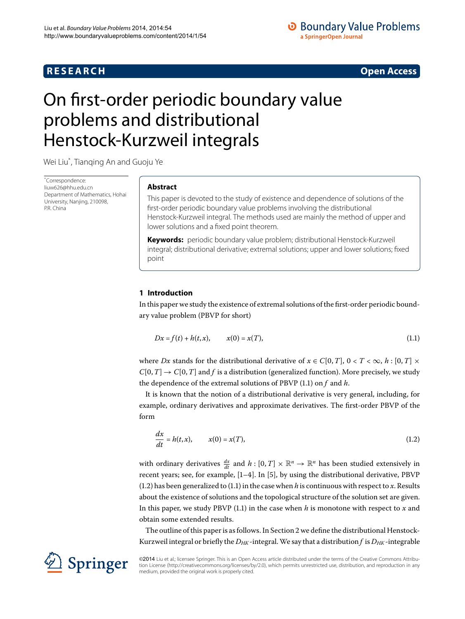## **R E S E A R C H Open Access**

<span id="page-0-1"></span>

# <span id="page-0-0"></span>On first-order periodic boundary value problems and distributional Henstock-Kurzweil integrals

Wei Liu[\\*](#page-0-0) , Tianqing An and Guoju Ye

\* Correspondence: [liuw626@hhu.edu.cn](mailto:liuw626@hhu.edu.cn) Department of Mathematics, Hohai University, Nanjing, 210098, P.R. China

## **Abstract**

This paper is devoted to the study of existence and dependence of solutions of the first-order periodic boundary value problems involving the distributional Henstock-Kurzweil integral. The methods used are mainly the method of upper and lower solutions and a fixed point theorem.

**Keywords:** periodic boundary value problem; distributional Henstock-Kurzweil integral; distributional derivative; extremal solutions; upper and lower solutions; fixed point

## **1 Introduction**

In this paper we study the existence of extremal solutions of the first-order periodic boundary value problem (PBVP for short)

<span id="page-0-2"></span>
$$
Dx = f(t) + h(t, x), \qquad x(0) = x(T), \tag{1.1}
$$

where *Dx* stands for the distributional derivative of  $x \in C[0, T]$ ,  $0 < T < \infty$ ,  $h : [0, T] \times$  $C[0,T] \rightarrow C[0,T]$  and *f* is a distribution (generalized function). More precisely, we study the dependence of the extremal solutions of PBVP (1.1) on *f* and *h*.

It is known that the notion of a distributional derivative is very general, including, for example, ordinary derivatives and approximate derivatives. The first-order PBVP of the form

$$
\frac{dx}{dt} = h(t, x), \qquad x(0) = x(T), \tag{1.2}
$$

with ordinary derivatives  $\frac{dx}{dt}$  and  $h: [0, T] \times \mathbb{R}^n \to \mathbb{R}^n$  has been studied extensively in recent years; see, for example,  $[1-4]$  $[1-4]$ . In  $[5]$ , by using the distributional derivative, PBVP  $(1.2)$  has been generalized to  $(1.1)$  in the case when *h* is continuous with respect to *x*. Results about the existence of solutions and the topological structure of the solution set are given. In this paper, we study PBVP  $(1.1)$  $(1.1)$  $(1.1)$  in the case when *h* is monotone with respect to *x* and obtain some extended results.

The outline of this paper is as follows. In Section 2 we define the distributional Henstock-Kurzweil integral or briefly the  $D_{HK}$ -integral. We say that a distribution f is  $D_{HK}$ -integrable

©2014 Liu et al.; licensee Springer. This is an Open Access article distributed under the terms of the Creative Commons Attribution License ([http://creativecommons.org/licenses/by/2.0\)](http://creativecommons.org/licenses/by/2.0), which permits unrestricted use, distribution, and reproduction in any medium, provided the original work is properly cited.

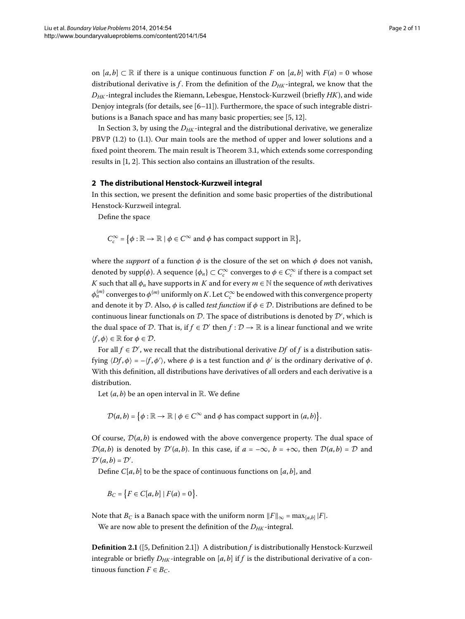on  $[a, b] \subset \mathbb{R}$  if there is a unique continuous function *F* on  $[a, b]$  with  $F(a) = 0$  whose distributional derivative is  $f$ . From the definition of the  $D_{HK}$ -integral, we know that the *DHK* -integral includes the Riemann, Lebesgue, Henstock-Kurzweil (briefly *HK*), and wide Denjoy integrals (for details, see  $[6-11]$  $[6-11]$ ). Furthermore, the space of such integrable distributions is a Banach space and has many basic properties; see  $[5, 12]$  $[5, 12]$  $[5, 12]$  $[5, 12]$ .

<span id="page-1-0"></span>In Section 3[,](#page-3-0) by using the  $D_{HK}$ -integral and the distributional derivative, we generalize PBVP  $(1.2)$  $(1.2)$  $(1.2)$  to  $(1.1)$ . Our main tools are the method of upper and lower solutions and a fixed point theorem[.](#page-5-0) The main result is Theorem 3.1, which extends some corresponding results in  $[1, 2]$ . This section also contains an illustration of the results.

#### **2 The distributional Henstock-Kurzweil integral**

In this section, we present the definition and some basic properties of the distributional Henstock-Kurzweil integral.

Define the space

$$
C_c^{\infty} = \{ \phi : \mathbb{R} \to \mathbb{R} \mid \phi \in C^{\infty} \text{ and } \phi \text{ has compact support in } \mathbb{R} \},
$$

where the *support* of a function  $\phi$  is the closure of the set on which  $\phi$  does not vanish, denoted by  $\text{supp}(\phi)$ . A sequence  $\{\phi_n\} \subset C_c^{\infty}$  converges to  $\phi \in C_c^{\infty}$  if there is a compact set *K* such that all  $\phi_n$  have supports in *K* and for every  $m \in \mathbb{N}$  the sequence of *m*th derivatives  $\phi_n^{(m)}$  converges to  $\phi^{(m)}$  uniformly on  $K.$  Let  $C_c^\infty$  be endowed with this convergence property and denote it by D. Also,  $\phi$  is called *test function* if  $\phi \in \mathcal{D}$ . Distributions are defined to be continuous linear functionals on  ${\mathcal D}.$  The space of distributions is denoted by  ${\mathcal D}',$  which is the dual space of D. That is, if  $f \in \mathcal{D}'$  then  $f : \mathcal{D} \to \mathbb{R}$  is a linear functional and we write  $\langle f, \phi \rangle \in \mathbb{R}$  for  $\phi \in \mathcal{D}$ .

For all  $f \in \mathcal{D}'$ , we recall that the distributional derivative  $Df$  of  $f$  is a distribution satisfying  $\langle Df, \phi \rangle = -\langle f, \phi' \rangle$ , where  $\phi$  is a test function and  $\phi'$  is the ordinary derivative of  $\phi$ . With this definition, all distributions have derivatives of all orders and each derivative is a distribution.

Let  $(a, b)$  be an open interval in  $\mathbb{R}$ . We define

 $\mathcal{D}(a,b) = \big\{\phi: \mathbb{R} \to \mathbb{R} \mid \phi \in C^{\infty} \text{ and } \phi \text{ has compact support in } (a,b)\big\}.$ 

Of course,  $D(a, b)$  is endowed with the above convergence property. The dual space of  $\mathcal{D}(a,b)$  is denoted by  $\mathcal{D}'(a,b)$ . In this case, if  $a = -\infty$ ,  $b = +\infty$ , then  $\mathcal{D}(a,b) = \mathcal{D}$  and  $\mathcal{D}'(a,b)=\mathcal{D}'.$ 

Define  $C[a, b]$  to be the space of continuous functions on  $[a, b]$ , and

$$
B_C = \{ F \in C[a, b] \mid F(a) = 0 \}.
$$

Note that *B<sub>C</sub>* is a Banach space with the uniform norm  $||F||_{\infty} = \max_{[a,b]} |F|$ . We are now able to present the definition of the  $D_{HK}$ -integral.

**Definition 2.1** ([5[,](#page-10-2) Definition 2.1]) A distribution *f* is distributionally Henstock-Kurzweil integrable or briefly  $D_{HK}$ -integrable on [a, b] if f is the distributional derivative of a continuous function  $F \in B_C$ .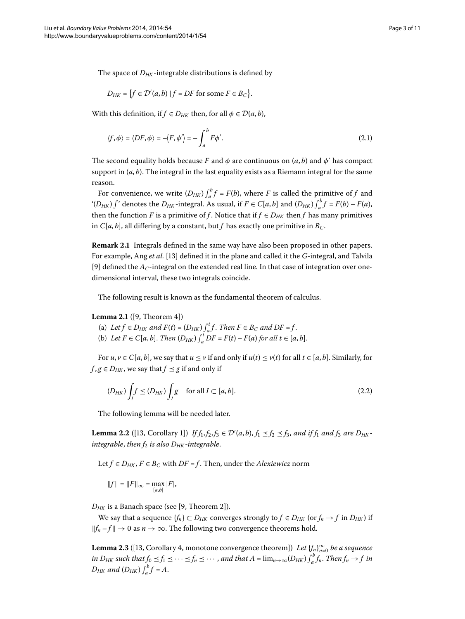The space of  $D_{HK}$ -integrable distributions is defined by

$$
D_{HK} = \{ f \in \mathcal{D}'(a,b) \mid f = DF \text{ for some } F \in B_C \}.
$$

With this definition, if  $f \in D_{HK}$  then, for all  $\phi \in \mathcal{D}(a, b)$ ,

$$
\langle f, \phi \rangle = \langle DF, \phi \rangle = -\langle F, \phi' \rangle = -\int_{a}^{b} F\phi'.
$$
 (2.1)

The second equality holds because *F* and  $\phi$  are continuous on  $(a, b)$  and  $\phi'$  has compact support in  $(a, b)$ . The integral in the last equality exists as a Riemann integral for the same reason.

For convenience, we write  $(D_{HK}) \int_a^b f = F(b)$ , where *F* is called the primitive of *f* and "(*D<sub>HK</sub>*)  $\int$ " denotes the *D<sub>HK</sub>*-integral. As usual, if  $F \in C[a, b]$  and  $(D_{HK}) \int_a^b f = F(b) - F(a)$ , then the function *F* is a primitive of *f*. Notice that if  $f \in D_{HK}$  then *f* has many primitives in *C*[ $a$ , $b$ ], all differing by a constant, but  $f$  has exactly one primitive in  $B_C$ .

<span id="page-2-0"></span>**Remark 2.1** Integrals defined in the same way have also been proposed in other papers. For example, Ang *et al.* [[\]](#page-10-7) defined it in the plane and called it the *G*-integral, and Talvila [9[\]](#page-10-8) defined the  $A_C$ -integral on the extended real line. In that case of integration over onedimensional interval, these two integrals coincide.

The following result is known as the fundamental theorem of calculus.

#### **Lemma 2.1** ([\[](#page-10-8)9, Theorem 4])

- <span id="page-2-1"></span>(a) Let  $f \in D_{HK}$  and  $F(t) = (D_{HK}) \int_a^t f$ . Then  $F \in B_C$  and  $DF = f$ .
- (b) *Let*  $F \in C[a, b]$ . *Then*  $(D_{HK}) \int_a^t DF = F(t) F(a)$  for all  $t \in [a, b]$ .

For  $u, v \in C[a, b]$ , we say that  $u \le v$  if and only if  $u(t) \le v(t)$  for all  $t \in [a, b]$ . Similarly, for  $f$ ,  $g \in D_{HK}$ , we say that  $f \preceq g$  if and only if

$$
(D_{HK}) \int_I f \le (D_{HK}) \int_I g \quad \text{for all } I \subset [a, b]. \tag{2.2}
$$

The following lemma will be needed later.

**Lemma 2.2** ([13, Corollary 1]) *If*  $f_1, f_2, f_3 \in \mathcal{D}'(a, b)$ ,  $f_1 \le f_2 \le f_3$ , and if  $f_1$  and  $f_3$  are  $D_{HK}$ *integrable, then*  $f_2$  *is also*  $D_{HK}$ *-integrable.* 

Let *f* ∈ *D<sub>HK</sub>*, *F* ∈ *B<sub>C</sub>* with *DF* = *f*. Then, under the *Alexiewicz* norm

$$
||f|| = ||F||_{\infty} = \max_{[a,b]} |F|,
$$

 $D_{HK}$  is a Banach space (see [9, Theorem 2]).

We say that a sequence  $\{f_n\} \subset D_{HK}$  converges strongly to  $f \in D_{HK}$  (or  $f_n \to f$  in  $D_{HK}$ ) if  $||f_n - f||$  → 0 as  $n \to \infty$ . The following two convergence theorems hold.

**Lemma 2.3** ([13[,](#page-10-7) Corollary 4, monotone convergence theorem]) *Let*  $\{f_n\}_{n=0}^\infty$  *be a sequence in D<sub>HK</sub>* such that  $f_0 \preceq f_1 \preceq \cdots \preceq f_n \preceq \cdots$  , and that  $A = \lim_{n \to \infty} (D_{HK}) \int_a^b f_n$ . Then  $f_n \to f$  in  $D_{HK}$  and  $(D_{HK}) \int_a^b f = A$ .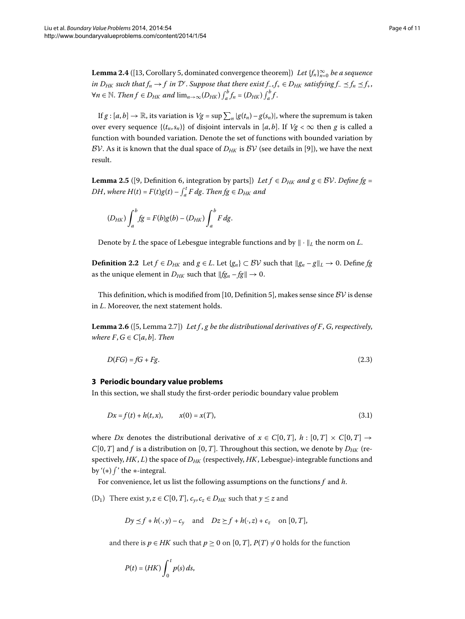**Lemma 2.4** ([13, Corollary 5, dominated convergence theorem]) *Let*  $\{f_n\}_{n=0}^\infty$  *be a sequence* in  $D_{HK}$  such that  $f_n \to f$  in  $\mathcal{D}'$ . Suppose that there exist  $f_-, f_+ \in D_{HK}$  satisfying  $f_- \preceq f_n \preceq f_+ ,$ *∀n* ∈ *N*. *Then*  $f$  ∈  $D_{HK}$  and  $\lim_{n\to\infty} (D_{HK}) \int_a^b f_n = (D_{HK}) \int_a^b f$ .

<span id="page-3-1"></span>If  $g : [a, b] \to \mathbb{R}$ , its variation is  $Vg = \sup \sum_{n} |g(t_n) - g(s_n)|$ , where the supremum is taken over every sequence  $\{(t_n, s_n)\}$  of disjoint intervals in [a, b]. If  $Vg < \infty$  then g is called a function with bounded variation. Denote the set of functions with bounded variation by BV. As it is known that the dual space of  $D_{HK}$  is BV (see details in [9]), we have the next result.

**Lemma 2.5** ([9, Definition 6, integration by parts]) *Let*  $f \in D_{HK}$  *and*  $g \in BV$ . *Define* fg = *DH*, where  $H(t) = F(t)g(t) - \int_a^t F dg$ . Then  $fg \in D_{HK}$  and

$$
(D_{HK})\int_a^b fg = F(b)g(b) - (D_{HK})\int_a^b F dg.
$$

Denote by *L* the space of Lebesgue integrable functions and by  $\|\cdot\|_L$  the norm on *L*.

**Definition 2.2** Let *f* ∈ *D<sub>HK</sub>* and *g* ∈ *L*. Let {*g<sub>n</sub>*} ⊂ *BV* such that  $||g_n - g||_L \to 0$ . Define *fg* as the unique element in  $D_{HK}$  such that  $||fg_n - fg|| \to 0$ .

This definition, which is modified from [\[](#page-10-9)10, Definition 5], makes sense since  $\mathcal{BV}$  is dense in *L*. Moreover, the next statement holds.

<span id="page-3-0"></span>**Lemma 2.6** ([5[,](#page-10-2) Lemma 2.7]) Let f, g be the distributional derivatives of F, G, respectively, *where*  $F, G \in C[a, b]$ . *Then* 

$$
D(FG) = fG + Fg. \tag{2.3}
$$

### **3 Periodic boundary value problems**

In this section, we shall study the first-order periodic boundary value problem

$$
Dx = f(t) + h(t, x), \qquad x(0) = x(T), \tag{3.1}
$$

where *Dx* denotes the distributional derivative of  $x \in C[0, T]$ ,  $h : [0, T] \times C[0, T] \rightarrow$  $C[0,T]$  and *f* is a distribution on [0, *T*]. Throughout this section, we denote by  $D_{HK}$  (respectively, *HK*, *L*) the space of  $D_{HK}$  (respectively, *HK*, Lebesgue)-integrable functions and by '(∗)  $\int$ ' the ∗-integral.

For convenience, let us list the following assumptions on the functions *f* and *h*.

(D<sub>1</sub>) There exist  $y, z \in C[0, T]$ ,  $c_y, c_z \in D_{HK}$  such that  $y \leq z$  and

$$
Dy \leq f + h(\cdot, y) - c_y
$$
 and  $Dz \geq f + h(\cdot, z) + c_z$  on [0, T],

and there is  $p \in HK$  such that  $p \ge 0$  on  $[0, T]$ ,  $P(T) \ne 0$  holds for the function

$$
P(t) = (HK) \int_0^t p(s) \, ds,
$$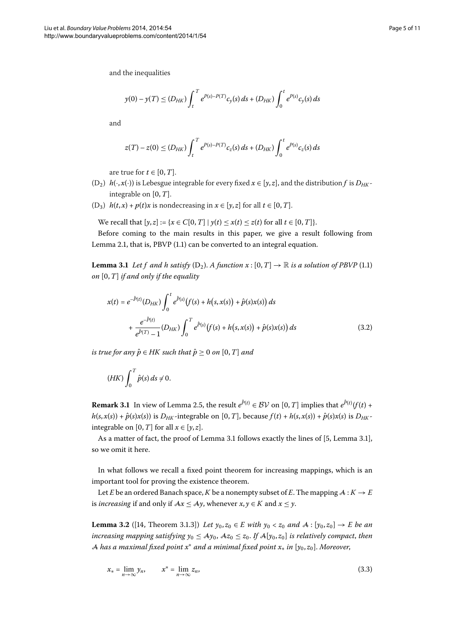and the inequalities

$$
y(0) - y(T) \le (D_{HK}) \int_t^T e^{P(s) - P(T)} c_y(s) ds + (D_{HK}) \int_0^t e^{P(s)} c_y(s) ds
$$

and

$$
z(T) - z(0) \le (D_{HK}) \int_t^T e^{P(s) - P(T)} c_z(s) ds + (D_{HK}) \int_0^t e^{P(s)} c_z(s) ds
$$

are true for  $t \in [0, T]$ .

- <span id="page-4-0"></span>(D<sub>2</sub>)  $h(\cdot, x(\cdot))$  is Lebesgue integrable for every fixed  $x \in [y, z]$ , and the distribution *f* is  $D_{HK}$ integrable on  $[0, T]$ .
- (D<sub>3</sub>)  $h(t, x) + p(t)x$  is nondecreasing in  $x \in [y, z]$  for all  $t \in [0, T]$ .

We recall that  $[y, z] := \{x \in C[0, T] \mid y(t) \leq x(t) \leq z(t) \text{ for all } t \in [0, T] \}.$ 

Before coming to the main results in this paper, we give a result following from Lemma 2[.](#page-2-0)1, that is, PBVP  $(1.1)$  can be converted to an integral equation.

**Lemma 3[.](#page-0-1)1** Let f and h satisfy  $(D_2)$ . A function  $x : [0, T] \rightarrow \mathbb{R}$  is a solution of PBVP (1.1) *on*  $[0, T]$  *if and only if the equality* 

$$
x(t) = e^{-\hat{P}(t)}(D_{HK}) \int_0^t e^{\hat{P}(s)}(f(s) + h(s, x(s)) + \hat{p}(s)x(s)) ds
$$
  
+ 
$$
\frac{e^{-\hat{P}(t)}}{e^{\hat{P}(T)} - 1}(D_{HK}) \int_0^T e^{\hat{P}(s)}(f(s) + h(s, x(s)) + \hat{p}(s)x(s)) ds
$$
(3.2)

*is true for any*  $\hat{p} \in HK$  *such that*  $\hat{p} > 0$  *on* [0, *T*] *and* 

$$
(HK)\int_0^T \hat{p}(s)\,ds\neq 0.
$$

**Remark 3.1** In view of Lemma 2.5, the result  $e^{P(t)} \in BV$  on  $[0, T]$  implies that  $e^{P(t)}(f(t))$  +  $h(s, x(s)) + \hat{p}(s)x(s)$  is  $D_{HK}$ -integrable on [0, T], because  $f(t) + h(s, x(s)) + \hat{p}(s)x(s)$  is  $D_{HK}$ integrable on [0, *T*] for all  $x \in [y, z]$ .

As a matter of fact, the proof of Lemma 3[.](#page-4-0)1 follows exactly the lines of  $[5,$  $[5,$  Lemma 3.1], so we omit it here.

<span id="page-4-1"></span>In what follows we recall a fixed point theorem for increasing mappings, which is an important tool for proving the existence theorem.

Let *E* be an ordered Banach space, *K* be a nonempty subset of *E*. The mapping  $A: K \to E$ is *increasing* if and only if  $Ax \le Ay$ , whenever  $x, y \in K$  and  $x \le y$ .

**Lemma 3.2** ([\[](#page-10-10)14, Theorem 3.1.3]) *Let*  $y_0, z_0 \in E$  *with*  $y_0 < z_0$  *and*  $A : [y_0, z_0] \to E$  *be an increasing mapping satisfying*  $y_0 \leq Ay_0$ ,  $Az_0 \leq z_0$ . If  $A[y_0, z_0]$  *is relatively compact, then* A *has a maximal fixed point x*<sup>∗</sup> *and a minimal fixed point x*<sup>∗</sup> *in* [*y*, *z*]. *Moreover*,

<span id="page-4-2"></span>
$$
x_* = \lim_{n \to \infty} y_n, \qquad x^* = \lim_{n \to \infty} z_n,
$$
\n(3.3)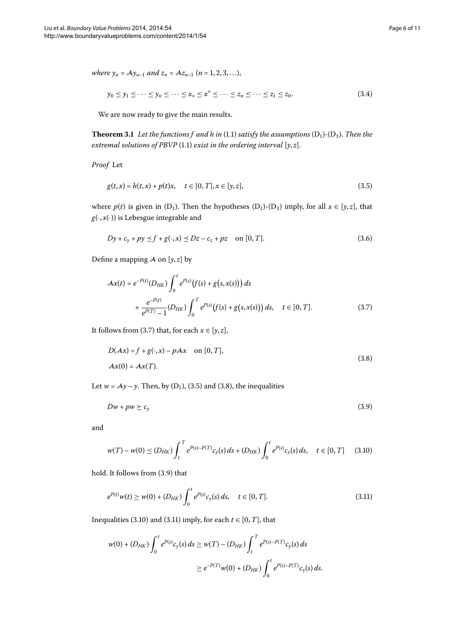<span id="page-5-0"></span>where 
$$
y_n = Ay_{n-1}
$$
 and  $z_n = Az_{n-1}$  ( $n = 1, 2, 3, ...$ ),

<span id="page-5-7"></span><span id="page-5-2"></span>
$$
y_0 \leq y_1 \leq \cdots \leq y_n \leq \cdots \leq x_* \leq x^* \leq \cdots \leq z_n \leq \cdots \leq z_1 \leq z_0. \tag{3.4}
$$

We are now ready to give the main results.

**Theorem 3[.](#page-0-1)1** Let the functions f and h in (1.1) satisfy the assumptions  $(D_1)$ - $(D_3)$ . Then the *extremal solutions of PBVP* (1.1) *exist in the ordering interval*  $[y, z]$ *.* 

*Proof* Let

$$
g(t,x) = h(t,x) + p(t)x, \quad t \in [0,T], x \in [y,z],
$$
\n(3.5)

<span id="page-5-1"></span>where  $p(t)$  is given in (D<sub>1</sub>). Then the hypotheses (D<sub>1</sub>)-(D<sub>3</sub>) imply, for all  $x \in [y, z]$ , that  $g(\cdot, x(\cdot))$  is Lebesgue integrable and

$$
Dy + c_y + py \le f + g(\cdot, x) \le Dz - c_z + pz \quad \text{on } [0, T].
$$
 (3.6)

Define a mapping  $\mathcal A$  on  $[y, z]$  by

<span id="page-5-3"></span>
$$
\mathcal{A}\mathbf{x}(t) = e^{-P(t)}(D_{HK}) \int_0^t e^{P(s)}(f(s) + g(s, \mathbf{x}(s))) ds + \frac{e^{-P(t)}}{e^{P(T)} - 1} (D_{HK}) \int_0^T e^{P(s)}(f(s) + g(s, \mathbf{x}(s))) ds, \quad t \in [0, T].
$$
 (3.7)

It follows from (3[.](#page-5-1)7) that, for each  $x \in [y, z]$ ,

<span id="page-5-4"></span>
$$
D(Ax) = f + g(\cdot, x) - pAx \quad \text{on } [0, T],
$$
  

$$
Ax(0) = Ax(T).
$$
 (3.8)

Let  $w = Ay - y$ . Then, by (D<sub>1</sub>), (3.5) and (3.8), the inequalities

<span id="page-5-6"></span><span id="page-5-5"></span>
$$
Dw + pw \geq c_y \tag{3.9}
$$

and

$$
w(T) - w(0) \le (D_{HK}) \int_{t}^{T} e^{P(s) - P(T)} c_{y}(s) ds + (D_{HK}) \int_{0}^{t} e^{P(s)} c_{y}(s) ds, \quad t \in [0, T]
$$
 (3.10)

hold[.](#page-5-4) It follows from (3.9) that

$$
e^{P(t)}w(t) \ge w(0) + (D_{HK}) \int_0^t e^{P(s)} c_y(s) ds, \quad t \in [0, T].
$$
\n(3.11)

Inequalities (3[.](#page-5-5)10) and (3.11) imply, for each  $t \in [0, T]$ , that

$$
w(0) + (D_{HK}) \int_0^t e^{P(s)} c_y(s) ds \ge w(T) - (D_{HK}) \int_t^T e^{P(s) - P(T)} c_y(s) ds
$$
  

$$
\ge e^{-P(T)} w(0) + (D_{HK}) \int_0^t e^{P(s) - P(T)} c_y(s) ds.
$$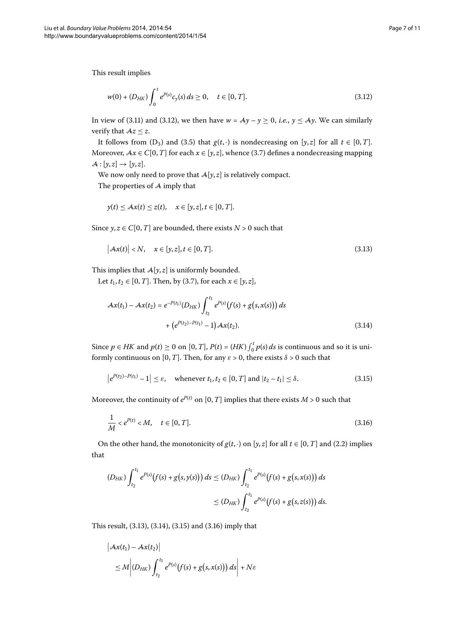This result implies

<span id="page-6-0"></span>
$$
w(0) + (D_{HK}) \int_0^t e^{P(s)} c_y(s) ds \ge 0, \quad t \in [0, T].
$$
\n(3.12)

In view of (3[.](#page-6-0)11) and (3.12), we then have  $w = Ay - y \ge 0$ , *i.e.*,  $y \le Ay$ . We can similarly verify that  $Az \leq z$ .

It follows from (D<sub>3</sub>) and (3.5) that  $g(t, \cdot)$  is nondecreasing on [y, *z*] for all  $t \in [0, T]$ . Moreover,  $Ax \in C[0, T]$  for each  $x \in [y, z]$ , whence (3[.](#page-5-1)7) defines a nondecreasing mapping  $\mathcal{A}: [\mathcal{Y}, \mathcal{Z}] \rightarrow [\mathcal{Y}, \mathcal{Z}].$ 

We now only need to prove that  $A[y, z]$  is relatively compact.

The properties of A imply that

<span id="page-6-1"></span>
$$
y(t) \leq Ax(t) \leq z(t), \quad x \in [y, z], t \in [0, T].
$$

<span id="page-6-2"></span>Since  $y, z \in C[0, T]$  are bounded, there exists  $N > 0$  such that

$$
\left|\mathcal{A}\mathbf{x}(t)\right| < N, \quad \mathbf{x} \in [y, z], t \in [0, T].\tag{3.13}
$$

This implies that  $A[y, z]$  is uniformly bounded.

Let  $t_1, t_2 \in [0, T]$ . Then, by (3.7), for each  $x \in [y, z]$ ,

<span id="page-6-3"></span>
$$
\mathcal{A}\mathbf{x}(t_1) - \mathcal{A}\mathbf{x}(t_2) = e^{-P(t_1)}(D_{HK}) \int_{t_2}^{t_1} e^{P(s)}(f(s) + g(s, \mathbf{x}(s))) ds
$$
  
+ 
$$
(e^{P(t_2) - P(t_1)} - 1) \mathcal{A}\mathbf{x}(t_2).
$$
 (3.14)

Since  $p \in HK$  and  $p(t) \ge 0$  on  $[0, T]$ ,  $P(t) = (HK) \int_0^t p(s) ds$  is continuous and so it is uniformly continuous on [0, *T*]. Then, for any  $\varepsilon > 0$ , there exists  $\delta > 0$  such that

<span id="page-6-4"></span>
$$
\left|e^{P(t_2)-P(t_1)}-1\right| \leq \varepsilon, \quad \text{whenever } t_1, t_2 \in [0, T] \text{ and } |t_2 - t_1| \leq \delta. \tag{3.15}
$$

Moreover, the continuity of  $e^{P(t)}$  on [0, *T*] implies that there exists *M* > 0 such that

$$
\frac{1}{M} < e^{P(t)} < M, \quad t \in [0, T].\tag{3.16}
$$

On the other hand, the monotonicity of  $g(t, \cdot)$  on [y, *z*] for all  $t \in [0, T]$  and (2.2) implies that

$$
(D_{HK}) \int_{t_2}^{t_1} e^{P(s)}(f(s) + g(s, y(s))) ds \le (D_{HK}) \int_{t_2}^{t_1} e^{P(s)}(f(s) + g(s, x(s))) ds
$$
  

$$
\le (D_{HK}) \int_{t_2}^{t_1} e^{P(s)}(f(s) + g(s, z(s))) ds.
$$

This result,  $(3.13)$  $(3.13)$  $(3.13)$ ,  $(3.14)$ ,  $(3.15)$  and  $(3.16)$  imply that

$$
\begin{aligned} \left| Ax(t_1) - Ax(t_2) \right| \\ &\leq M \left| \left( D_{HK} \right) \int_{t_2}^{t_1} e^{P(s)} \big( f(s) + g(s, x(s)) \big) \, ds \right| + N \varepsilon \end{aligned}
$$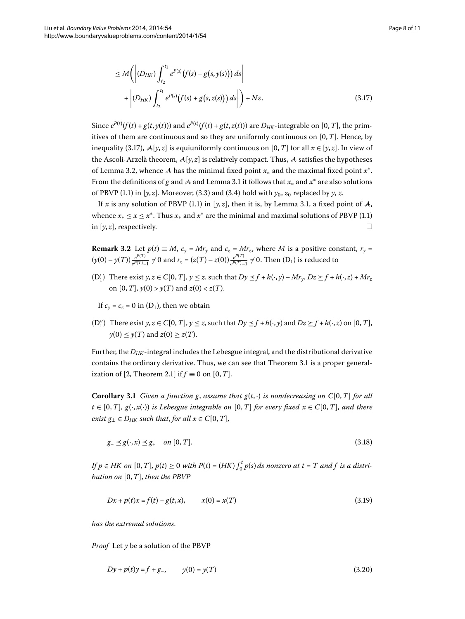<span id="page-7-0"></span>
$$
\leq M\left(\left|(D_{HK})\int_{t_2}^{t_1}e^{P(s)}\big(f(s)+g(s,y(s))\big)\,ds\right| + \left|(D_{HK})\int_{t_2}^{t_1}e^{P(s)}\big(f(s)+g(s,z(s))\big)\,ds\right|\right) + N\varepsilon.
$$
\n(3.17)

Since  $e^{P(t)}(f(t) + g(t,y(t)))$  and  $e^{P(t)}(f(t) + g(t,z(t)))$  are  $D_{HK}$ -integrable on [0, T], the primitives of them are continuous and so they are uniformly continuous on  $[0, T]$ . Hence, by inequality (3.17),  $\mathcal{A}[y, z]$  is equiuniformly continuous on [0, *T*] for all  $x \in [y, z]$ . In view of the Ascoli-Arzelà theorem,  $\mathcal{A}[\gamma, z]$  is relatively compact. Thus,  $\mathcal A$  satisfies the hypotheses of Lemma 3.2, whence A has the minimal fixed point  $x^*$  and the maximal fixed point  $x^*$ . From the definitions of *g* and A and Lemma 3[.](#page-4-0)1 it follows that  $x_*$  and  $x^*$  are also solutions of PBVP (1.1) in  $[y, z]$ . Moreover, (3.3) and (3.4) hold with  $y_0$ ,  $z_0$  replaced by  $y$ ,  $z$ .

If *x* is any solution of PBVP (1[.](#page-0-1)1) in [ $y$ , *z*], then it is, by Lemma 3.1, a fixed point of A, whence  $x_* \le x \le x^*$ [.](#page-0-1) Thus  $x_*$  and  $x^*$  are the minimal and maximal solutions of PBVP (1.1) in  $[y, z]$ , respectively.

**Remark 3.2** Let  $p(t) \equiv M$ ,  $c_y = Mr_y$  and  $c_z = Mr_z$ , where *M* is a positive constant,  $r_y =$  $(y(0) - y(T)) \frac{e^{P(T)}}{e^{P(T)} - 1} \neq 0$  and  $r_z = (z(T) - z(0)) \frac{e^{P(T)}}{e^{P(T)} - 1} \neq 0$ . Then  $(D_1)$  is reduced to

 $(D'_1)$  There exist  $y, z \in C[0, T]$ ,  $y \le z$ , such that  $Dy \le f + h(\cdot, y) - Mr_y$ ,  $Dz \ge f + h(\cdot, z) + Mr_z$ on  $[0, T]$ ,  $y(0) > y(T)$  and  $z(0) < z(T)$ .

If  $c_v = c_z = 0$  in  $(D_1)$ , then we obtain

<span id="page-7-4"></span> $(D''_1)$  There exist  $y, z \in C[0, T]$ ,  $y \le z$ , such that  $Dy \le f + h(\cdot, y)$  and  $Dz \ge f + h(\cdot, z)$  on  $[0, T]$ ,  $y(0) \leq y(T)$  and  $z(0) \geq z(T)$ .

Further, the *DHK* -integral includes the Lebesgue integral, and the distributional derivative contains the ordinary derivative[.](#page-5-0) Thus, we can see that Theorem 3.1 is a proper general-ization of [\[](#page-10-6)2, Theorem 2.1] if  $f \equiv 0$  on [0, *T*].

**Corollary 3.1** Given a function g, assume that  $g(t, \cdot)$  is nondecreasing on  $C[0, T]$  for all  $t \in [0, T]$ ,  $g(\cdot, x(\cdot))$  *is Lebesgue integrable on* [0, *T*] *for every fixed*  $x \in C[0, T]$ *, and there exist*  $g_+ \in D_{HK}$  *such that, for all*  $x \in C[0, T]$ ,

<span id="page-7-2"></span><span id="page-7-1"></span>
$$
g_{-} \preceq g(\cdot, x) \preceq g_{+} \quad on \ [0, T]. \tag{3.18}
$$

*If*  $p \in HK$  on  $[0, T]$ ,  $p(t) \ge 0$  with  $P(t) = (HK) \int_0^t p(s) ds$  nonzero at  $t = T$  and  $f$  is a distri*bution on*  $[0, T]$ *, then the PBVP* 

<span id="page-7-3"></span>
$$
Dx + p(t)x = f(t) + g(t, x), \qquad x(0) = x(T)
$$
\n(3.19)

*has the extremal solutions*.

*Proof* Let *y* be a solution of the PBVP

$$
Dy + p(t)y = f + g_-, \qquad y(0) = y(T) \tag{3.20}
$$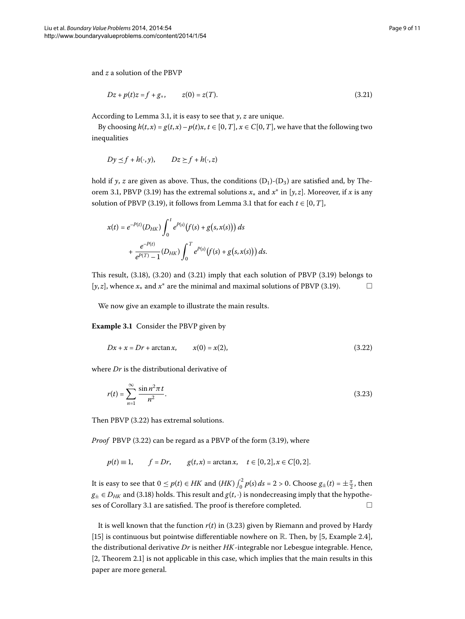and *z* a solution of the PBVP

<span id="page-8-0"></span>
$$
Dz + p(t)z = f + g_+, \qquad z(0) = z(T). \tag{3.21}
$$

According to Lemma 3[.](#page-4-0)1, it is easy to see that  $\gamma$ ,  $z$  are unique.

By choosing  $h(t, x) = g(t, x) - p(t)x$ ,  $t \in [0, T]$ ,  $x \in C[0, T]$ , we have that the following two inequalities

$$
Dy \leq f + h(\cdot, y), \qquad Dz \geq f + h(\cdot, z)
$$

hold if *y*, *z* are given as above. Thus, the conditions  $(D_1)$ - $(D_3)$  are satisfied and, by Theorem 3.1, PBVP (3.19) has the extremal solutions  $x_*$  and  $x^*$  in [ $y, z$ ]. Moreover, if  $x$  is any solution of PBVP (3[.](#page-4-0)19), it follows from Lemma 3.1 that for each  $t \in [0, T]$ ,

<span id="page-8-1"></span>
$$
x(t) = e^{-P(t)}(D_{HK}) \int_0^t e^{P(s)}(f(s) + g(s, x(s))) ds
$$
  
+ 
$$
\frac{e^{-P(t)}}{e^{P(T)} - 1} (D_{HK}) \int_0^T e^{P(s)}(f(s) + g(s, x(s))) ds.
$$

This result,  $(3.18)$  $(3.18)$  $(3.18)$ ,  $(3.20)$  and  $(3.21)$  imply that each solution of PBVP  $(3.19)$  belongs to [ $y$ , $z$ ], whence  $x_*$  and  $x^*$  are the minimal and maximal solutions of PBVP (3.19).  $\Box$ 

We now give an example to illustrate the main results.

**Example 3.1** Consider the PBVP given by

<span id="page-8-2"></span>
$$
Dx + x = Dr + \arctan x, \qquad x(0) = x(2), \tag{3.22}
$$

where *Dr* is the distributional derivative of

$$
r(t) = \sum_{n=1}^{\infty} \frac{\sin n^2 \pi t}{n^2}.
$$
 (3.23)

Then PBVP (3[.](#page-8-1)22) has extremal solutions.

*Proof* PBVP (3[.](#page-7-1)22) can be regard as a PBVP of the form (3.19), where

$$
p(t) \equiv 1,
$$
  $f = Dr,$   $g(t, x) = \arctan x,$   $t \in [0, 2], x \in C[0, 2].$ 

It is easy to see that  $0 \le p(t) \in HK$  and  $(HK) \int_0^2 p(s) ds = 2 > 0$ . Choose  $g_{\pm}(t) = \pm \frac{\pi}{2}$ , then  $g_{\pm} \in D_{HK}$  and (3.18) holds. This result and  $g(t, \cdot)$  is nondecreasing imply that the hypothe-ses of Corollary 3[.](#page-7-4)1 are satisfied. The proof is therefore completed.  $\Box$ 

It is well known that the function  $r(t)$  in (3.23) given by Riemann and proved by Hardy [15[\]](#page-10-11) is continuous but pointwise differentiable nowhere on  $\mathbb R$ . Then[,](#page-10-2) by [5, Example 2.4], the distributional derivative *Dr* is neither *HK*-integrable nor Lebesgue integrable. Hence,  $[2,$  $[2,$  Theorem 2.1 is not applicable in this case, which implies that the main results in this paper are more general.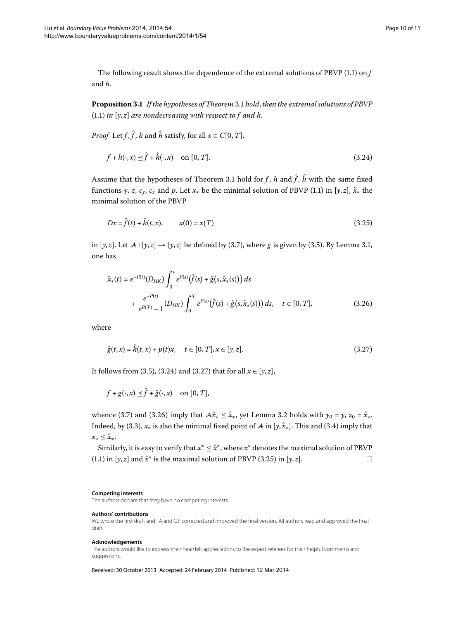The following result shows the dependence of the extremal solutions of PBVP  $(1.1)$  on  $f$ and *h*.

**Proposition .** *If the hypotheses of Theorem* [.](#page-5-0) *hold*, *then the extremal solutions of PBVP*  $(1.1)$  $(1.1)$  $(1.1)$  *in*  $[y, z]$  *are nondecreasing with respect to f and h.* 

*Proof* Let *f*,  $\hat{f}$ , *h* and  $\hat{h}$  satisfy, for all  $x \in C[0, T]$ ,

<span id="page-9-3"></span><span id="page-9-0"></span>
$$
f + h(\cdot, x) \preceq \hat{f} + \hat{h}(\cdot, x) \quad \text{on } [0, T]. \tag{3.24}
$$

<span id="page-9-2"></span>Assume that the hypotheses of Theorem 3[.](#page-5-0)1 hold for *f*, *h* and  $\hat{f}$ ,  $\hat{h}$  with the same fixed functions *y*, *z*, *c<sub>y</sub>*, *c<sub>z</sub>* and *p*[.](#page-0-1) Let  $x_*$  be the minimal solution of PBVP (1.1) in [*y*, *z*],  $\hat{x}_*$  the minimal solution of the PBVP

$$
Dx = \hat{f}(t) + \hat{h}(t, x), \qquad x(0) = x(T) \tag{3.25}
$$

in  $[y, z]$ [.](#page-4-0) Let  $A : [y, z] \rightarrow [y, z]$  be defined by (3.7), where *g* is given by (3.5). By Lemma 3.1, one has

<span id="page-9-1"></span>
$$
\hat{x}_{*}(t) = e^{-P(t)}(D_{HK}) \int_{0}^{t} e^{P(s)}(\hat{f}(s) + \hat{g}(s, \hat{x}_{*}(s))) ds \n+ \frac{e^{-P(t)}}{e^{P(T)} - 1} (D_{HK}) \int_{0}^{T} e^{P(s)}(\hat{f}(s) + \hat{g}(s, \hat{x}_{*}(s))) ds, \quad t \in [0, T],
$$
\n(3.26)

where

$$
\hat{g}(t,x) = \hat{h}(t,x) + p(t)x, \quad t \in [0,T], x \in [y,z].
$$
\n(3.27)

It follows from (3[.](#page-5-2)5), (3.24) and (3.27) that for all  $x \in [y, z]$ ,

$$
f+g(\cdot,x) \preceq \hat{f}+\hat{g}(\cdot,x)
$$
 on  $[0,T]$ ,

whence (3[.](#page-4-1)7) and (3.26) imply that  $A\hat{x}<sub>*</sub> \leq \hat{x}<sub>*</sub>$ , yet Lemma 3.2 holds with  $y_0 = y$ ,  $z_0 = \hat{x}<sub>*</sub>$ . Indeed, by (3.3),  $x_*$  is also the minimal fixed point of A in [ $y$ ,  $\hat{x}_*$ ]. This and (3.4) imply that  $x_* < \hat{x}_*.$ 

Similarly, it is easy to verify that *x*<sup>∗</sup> ≤ *x*ˆ<sup>∗</sup>, where *x*<sup>∗</sup> denotes the maximal solution of PBVP (1[.](#page-0-1)1) in  $[y, z]$  and  $\hat{x}^*$  is the maximal solution of PBVP (3.25) in  $[y, z]$ .

#### **Competing interests**

The authors declare that they have no competing interests.

#### **Authors' contributions**

WL wrote the first draft and TA and GY corrected and improved the final version. All authors read and approved the final draft.

#### **Acknowledgements**

The authors would like to express their heartfelt appreciations to the expert referees for their helpful comments and suggestions.

Received: 30 October 2013 Accepted: 24 February 2014 Published: 12 Mar 2014